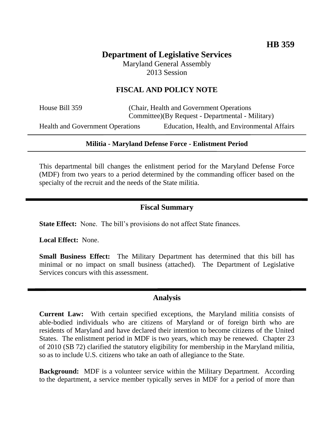# **Department of Legislative Services** Maryland General Assembly

2013 Session

# **FISCAL AND POLICY NOTE**

House Bill 359 (Chair, Health and Government Operations Committee)(By Request - Departmental - Military)

Health and Government Operations Education, Health, and Environmental Affairs

### **Militia - Maryland Defense Force - Enlistment Period**

This departmental bill changes the enlistment period for the Maryland Defense Force (MDF) from two years to a period determined by the commanding officer based on the specialty of the recruit and the needs of the State militia.

## **Fiscal Summary**

**State Effect:** None. The bill's provisions do not affect State finances.

**Local Effect:** None.

**Small Business Effect:** The Military Department has determined that this bill has minimal or no impact on small business (attached). The Department of Legislative Services concurs with this assessment.

### **Analysis**

**Current Law:** With certain specified exceptions, the Maryland militia consists of able-bodied individuals who are citizens of Maryland or of foreign birth who are residents of Maryland and have declared their intention to become citizens of the United States. The enlistment period in MDF is two years, which may be renewed. Chapter 23 of 2010 (SB 72) clarified the statutory eligibility for membership in the Maryland militia, so as to include U.S. citizens who take an oath of allegiance to the State.

**Background:** MDF is a volunteer service within the Military Department. According to the department, a service member typically serves in MDF for a period of more than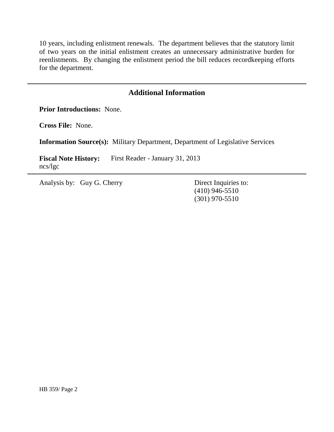10 years, including enlistment renewals. The department believes that the statutory limit of two years on the initial enlistment creates an unnecessary administrative burden for reenlistments. By changing the enlistment period the bill reduces recordkeeping efforts for the department.

## **Additional Information**

**Prior Introductions:** None.

**Cross File:** None.

**Information Source(s):** Military Department, Department of Legislative Services

Fiscal Note History: First Reader - January 31, 2013 ncs/lgc

Analysis by: Guy G. Cherry Direct Inquiries to:

(410) 946-5510 (301) 970-5510